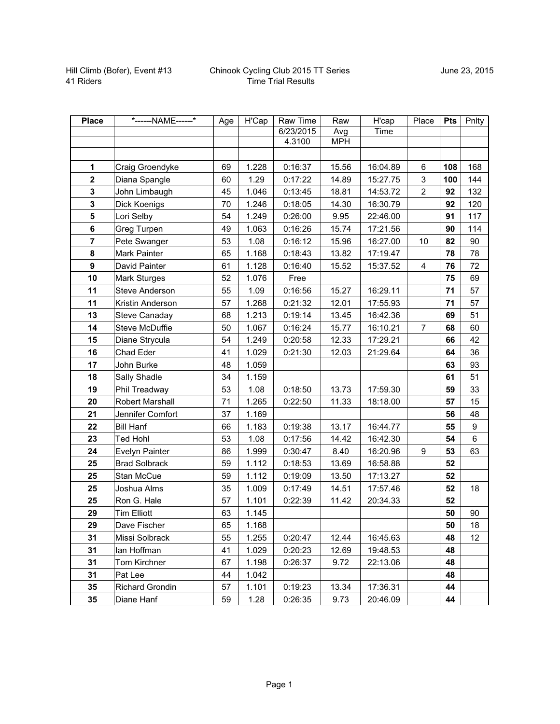| <b>Place</b>     | *------NAME------*   | Age | H'Cap | Raw Time  | Raw        | H'cap    | Place          | <b>Pts</b> | Pnlty |
|------------------|----------------------|-----|-------|-----------|------------|----------|----------------|------------|-------|
|                  |                      |     |       | 6/23/2015 | Avg        | Time     |                |            |       |
|                  |                      |     |       | 4.3100    | <b>MPH</b> |          |                |            |       |
|                  |                      |     |       |           |            |          |                |            |       |
| 1                | Craig Groendyke      | 69  | 1.228 | 0:16:37   | 15.56      | 16:04.89 | 6              | 108        | 168   |
| $\mathbf{2}$     | Diana Spangle        | 60  | 1.29  | 0:17:22   | 14.89      | 15:27.75 | 3              | 100        | 144   |
| 3                | John Limbaugh        | 45  | 1.046 | 0:13:45   | 18.81      | 14:53.72 | $\overline{c}$ | 92         | 132   |
| $\mathbf{3}$     | Dick Koenigs         | 70  | 1.246 | 0:18:05   | 14.30      | 16:30.79 |                | 92         | 120   |
| 5                | Lori Selby           | 54  | 1.249 | 0:26:00   | 9.95       | 22:46.00 |                | 91         | 117   |
| 6                | Greg Turpen          | 49  | 1.063 | 0:16:26   | 15.74      | 17:21.56 |                | 90         | 114   |
| $\overline{7}$   | Pete Swanger         | 53  | 1.08  | 0:16:12   | 15.96      | 16:27.00 | 10             | 82         | 90    |
| 8                | Mark Painter         | 65  | 1.168 | 0:18:43   | 13.82      | 17:19.47 |                | 78         | 78    |
| $\boldsymbol{9}$ | David Painter        | 61  | 1.128 | 0:16:40   | 15.52      | 15:37.52 | $\overline{4}$ | 76         | 72    |
| 10               | Mark Sturges         | 52  | 1.076 | Free      |            |          |                | 75         | 69    |
| 11               | Steve Anderson       | 55  | 1.09  | 0:16:56   | 15.27      | 16:29.11 |                | 71         | 57    |
| 11               | Kristin Anderson     | 57  | 1.268 | 0:21:32   | 12.01      | 17:55.93 |                | 71         | 57    |
| 13               | <b>Steve Canaday</b> | 68  | 1.213 | 0:19:14   | 13.45      | 16:42.36 |                | 69         | 51    |
| 14               | Steve McDuffie       | 50  | 1.067 | 0:16:24   | 15.77      | 16:10.21 | $\overline{7}$ | 68         | 60    |
| 15               | Diane Strycula       | 54  | 1.249 | 0:20:58   | 12.33      | 17:29.21 |                | 66         | 42    |
| 16               | Chad Eder            | 41  | 1.029 | 0:21:30   | 12.03      | 21:29.64 |                | 64         | 36    |
| 17               | John Burke           | 48  | 1.059 |           |            |          |                | 63         | 93    |
| 18               | Sally Shadle         | 34  | 1.159 |           |            |          |                | 61         | 51    |
| 19               | Phil Treadway        | 53  | 1.08  | 0:18:50   | 13.73      | 17:59.30 |                | 59         | 33    |
| 20               | Robert Marshall      | 71  | 1.265 | 0:22:50   | 11.33      | 18:18.00 |                | 57         | 15    |
| 21               | Jennifer Comfort     | 37  | 1.169 |           |            |          |                | 56         | 48    |
| 22               | <b>Bill Hanf</b>     | 66  | 1.183 | 0:19:38   | 13.17      | 16:44.77 |                | 55         | 9     |
| 23               | Ted Hohl             | 53  | 1.08  | 0:17:56   | 14.42      | 16:42.30 |                | 54         | 6     |
| 24               | Evelyn Painter       | 86  | 1.999 | 0:30:47   | 8.40       | 16:20.96 | $9\,$          | 53         | 63    |
| 25               | <b>Brad Solbrack</b> | 59  | 1.112 | 0:18:53   | 13.69      | 16:58.88 |                | 52         |       |
| 25               | Stan McCue           | 59  | 1.112 | 0:19:09   | 13.50      | 17:13.27 |                | 52         |       |
| 25               | Joshua Alms          | 35  | 1.009 | 0:17:49   | 14.51      | 17:57.46 |                | 52         | 18    |
| 25               | Ron G. Hale          | 57  | 1.101 | 0:22:39   | 11.42      | 20:34.33 |                | 52         |       |
| 29               | <b>Tim Elliott</b>   | 63  | 1.145 |           |            |          |                | 50         | 90    |
| 29               | Dave Fischer         | 65  | 1.168 |           |            |          |                | 50         | 18    |
| 31               | Missi Solbrack       | 55  | 1.255 | 0:20:47   | 12.44      | 16:45.63 |                | 48         | 12    |
| 31               | lan Hoffman          | 41  | 1.029 | 0:20:23   | 12.69      | 19:48.53 |                | 48         |       |
| 31               | Tom Kirchner         | 67  | 1.198 | 0:26:37   | 9.72       | 22:13.06 |                | 48         |       |
| 31               | Pat Lee              | 44  | 1.042 |           |            |          |                | 48         |       |
| 35               | Richard Grondin      | 57  | 1.101 | 0:19:23   | 13.34      | 17:36.31 |                | 44         |       |
| 35               | Diane Hanf           | 59  | 1.28  | 0:26:35   | 9.73       | 20:46.09 |                | 44         |       |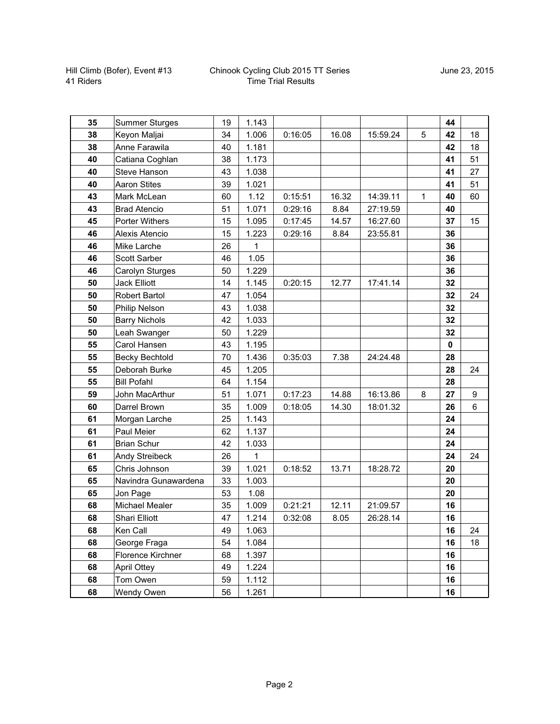| 35 | <b>Summer Sturges</b> | 19 | 1.143 |         |       |          |   | 44          |    |
|----|-----------------------|----|-------|---------|-------|----------|---|-------------|----|
| 38 | Keyon Maljai          | 34 | 1.006 | 0:16:05 | 16.08 | 15:59.24 | 5 | 42          | 18 |
| 38 | Anne Farawila         | 40 | 1.181 |         |       |          |   | 42          | 18 |
| 40 | Catiana Coghlan       | 38 | 1.173 |         |       |          |   | 41          | 51 |
| 40 | Steve Hanson          | 43 | 1.038 |         |       |          |   | 41          | 27 |
| 40 | <b>Aaron Stites</b>   | 39 | 1.021 |         |       |          |   | 41          | 51 |
| 43 | Mark McLean           | 60 | 1.12  | 0:15:51 | 16.32 | 14:39.11 | 1 | 40          | 60 |
| 43 | <b>Brad Atencio</b>   | 51 | 1.071 | 0:29:16 | 8.84  | 27:19.59 |   | 40          |    |
| 45 | Porter Withers        | 15 | 1.095 | 0:17:45 | 14.57 | 16:27.60 |   | 37          | 15 |
| 46 | Alexis Atencio        | 15 | 1.223 | 0:29:16 | 8.84  | 23:55.81 |   | 36          |    |
| 46 | Mike Larche           | 26 | 1     |         |       |          |   | 36          |    |
| 46 | <b>Scott Sarber</b>   | 46 | 1.05  |         |       |          |   | 36          |    |
| 46 | Carolyn Sturges       | 50 | 1.229 |         |       |          |   | 36          |    |
| 50 | <b>Jack Elliott</b>   | 14 | 1.145 | 0:20:15 | 12.77 | 17:41.14 |   | 32          |    |
| 50 | <b>Robert Bartol</b>  | 47 | 1.054 |         |       |          |   | 32          | 24 |
| 50 | Philip Nelson         | 43 | 1.038 |         |       |          |   | 32          |    |
| 50 | <b>Barry Nichols</b>  | 42 | 1.033 |         |       |          |   | 32          |    |
| 50 | Leah Swanger          | 50 | 1.229 |         |       |          |   | 32          |    |
| 55 | Carol Hansen          | 43 | 1.195 |         |       |          |   | $\mathbf 0$ |    |
| 55 | <b>Becky Bechtold</b> | 70 | 1.436 | 0:35:03 | 7.38  | 24:24.48 |   | 28          |    |
| 55 | Deborah Burke         | 45 | 1.205 |         |       |          |   | 28          | 24 |
| 55 | <b>Bill Pofahl</b>    | 64 | 1.154 |         |       |          |   | 28          |    |
| 59 | John MacArthur        | 51 | 1.071 | 0:17:23 | 14.88 | 16:13.86 | 8 | 27          | 9  |
| 60 | Darrel Brown          | 35 | 1.009 | 0:18:05 | 14.30 | 18:01.32 |   | 26          | 6  |
| 61 | Morgan Larche         | 25 | 1.143 |         |       |          |   | 24          |    |
| 61 | Paul Meier            | 62 | 1.137 |         |       |          |   | 24          |    |
| 61 | <b>Brian Schur</b>    | 42 | 1.033 |         |       |          |   | 24          |    |
| 61 | Andy Streibeck        | 26 | 1     |         |       |          |   | 24          | 24 |
| 65 | Chris Johnson         | 39 | 1.021 | 0:18:52 | 13.71 | 18:28.72 |   | 20          |    |
| 65 | Navindra Gunawardena  | 33 | 1.003 |         |       |          |   | 20          |    |
| 65 | Jon Page              | 53 | 1.08  |         |       |          |   | 20          |    |
| 68 | <b>Michael Mealer</b> | 35 | 1.009 | 0:21:21 | 12.11 | 21:09.57 |   | 16          |    |
| 68 | Shari Elliott         | 47 | 1.214 | 0:32:08 | 8.05  | 26:28.14 |   | 16          |    |
| 68 | Ken Call              | 49 | 1.063 |         |       |          |   | 16          | 24 |
| 68 | George Fraga          | 54 | 1.084 |         |       |          |   | 16          | 18 |
| 68 | Florence Kirchner     | 68 | 1.397 |         |       |          |   | 16          |    |
| 68 | April Ottey           | 49 | 1.224 |         |       |          |   | 16          |    |
| 68 | Tom Owen              | 59 | 1.112 |         |       |          |   | 16          |    |
| 68 | Wendy Owen            | 56 | 1.261 |         |       |          |   | 16          |    |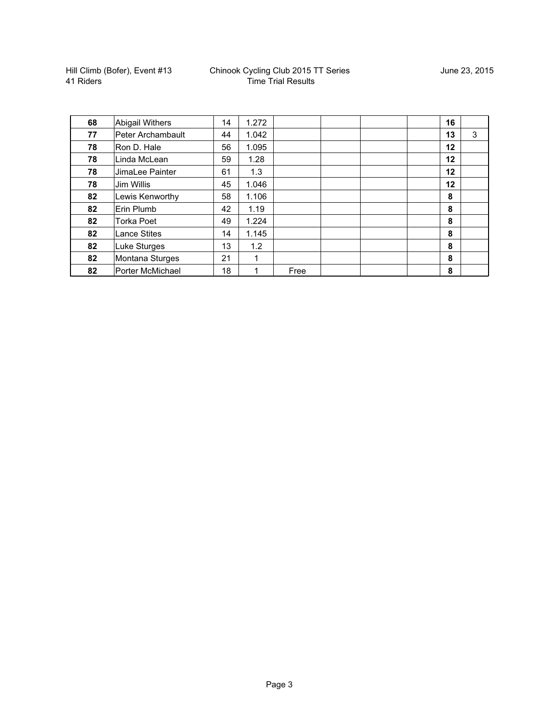| 68 | <b>Abigail Withers</b> | 14 | 1.272 |      |  | 16 |   |
|----|------------------------|----|-------|------|--|----|---|
| 77 | Peter Archambault      | 44 | 1.042 |      |  | 13 | 3 |
| 78 | Ron D. Hale            | 56 | 1.095 |      |  | 12 |   |
| 78 | Linda McLean           | 59 | 1.28  |      |  | 12 |   |
| 78 | JimaLee Painter        | 61 | 1.3   |      |  | 12 |   |
| 78 | Jim Willis             | 45 | 1.046 |      |  | 12 |   |
| 82 | Lewis Kenworthy        | 58 | 1.106 |      |  | 8  |   |
| 82 | Erin Plumb             | 42 | 1.19  |      |  | 8  |   |
| 82 | <b>Torka Poet</b>      | 49 | 1.224 |      |  | 8  |   |
| 82 | <b>Lance Stites</b>    | 14 | 1.145 |      |  | 8  |   |
| 82 | Luke Sturges           | 13 | 1.2   |      |  | 8  |   |
| 82 | Montana Sturges        | 21 | 1     |      |  | 8  |   |
| 82 | Porter McMichael       | 18 | 1     | Free |  | 8  |   |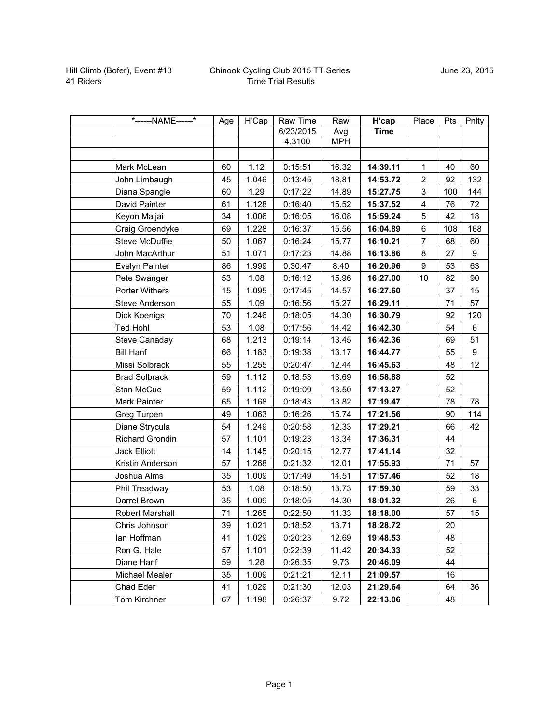| *------NAME------*     | Age | H'Cap | Raw Time  | Raw        | H'cap       | Place            | Pts | Pnlty |
|------------------------|-----|-------|-----------|------------|-------------|------------------|-----|-------|
|                        |     |       | 6/23/2015 | Avg        | <b>Time</b> |                  |     |       |
|                        |     |       | 4.3100    | <b>MPH</b> |             |                  |     |       |
|                        |     |       |           |            |             |                  |     |       |
| Mark McLean            | 60  | 1.12  | 0:15:51   | 16.32      | 14:39.11    | $\mathbf{1}$     | 40  | 60    |
| John Limbaugh          | 45  | 1.046 | 0:13:45   | 18.81      | 14:53.72    | $\overline{2}$   | 92  | 132   |
| Diana Spangle          | 60  | 1.29  | 0:17:22   | 14.89      | 15:27.75    | 3                | 100 | 144   |
| David Painter          | 61  | 1.128 | 0:16:40   | 15.52      | 15:37.52    | 4                | 76  | 72    |
| Keyon Maljai           | 34  | 1.006 | 0:16:05   | 16.08      | 15:59.24    | 5                | 42  | 18    |
| Craig Groendyke        | 69  | 1.228 | 0:16:37   | 15.56      | 16:04.89    | 6                | 108 | 168   |
| Steve McDuffie         | 50  | 1.067 | 0:16:24   | 15.77      | 16:10.21    | $\overline{7}$   | 68  | 60    |
| John MacArthur         | 51  | 1.071 | 0:17:23   | 14.88      | 16:13.86    | $\,8\,$          | 27  | 9     |
| Evelyn Painter         | 86  | 1.999 | 0:30:47   | 8.40       | 16:20.96    | $\boldsymbol{9}$ | 53  | 63    |
| Pete Swanger           | 53  | 1.08  | 0:16:12   | 15.96      | 16:27.00    | 10               | 82  | 90    |
| Porter Withers         | 15  | 1.095 | 0:17:45   | 14.57      | 16:27.60    |                  | 37  | 15    |
| Steve Anderson         | 55  | 1.09  | 0:16:56   | 15.27      | 16:29.11    |                  | 71  | 57    |
| Dick Koenigs           | 70  | 1.246 | 0:18:05   | 14.30      | 16:30.79    |                  | 92  | 120   |
| <b>Ted Hohl</b>        | 53  | 1.08  | 0:17:56   | 14.42      | 16:42.30    |                  | 54  | 6     |
| <b>Steve Canaday</b>   | 68  | 1.213 | 0:19:14   | 13.45      | 16:42.36    |                  | 69  | 51    |
| <b>Bill Hanf</b>       | 66  | 1.183 | 0:19:38   | 13.17      | 16:44.77    |                  | 55  | 9     |
| Missi Solbrack         | 55  | 1.255 | 0:20:47   | 12.44      | 16:45.63    |                  | 48  | 12    |
| <b>Brad Solbrack</b>   | 59  | 1.112 | 0:18:53   | 13.69      | 16:58.88    |                  | 52  |       |
| Stan McCue             | 59  | 1.112 | 0:19:09   | 13.50      | 17:13.27    |                  | 52  |       |
| Mark Painter           | 65  | 1.168 | 0:18:43   | 13.82      | 17:19.47    |                  | 78  | 78    |
| Greg Turpen            | 49  | 1.063 | 0:16:26   | 15.74      | 17:21.56    |                  | 90  | 114   |
| Diane Strycula         | 54  | 1.249 | 0:20:58   | 12.33      | 17:29.21    |                  | 66  | 42    |
| Richard Grondin        | 57  | 1.101 | 0:19:23   | 13.34      | 17:36.31    |                  | 44  |       |
| <b>Jack Elliott</b>    | 14  | 1.145 | 0:20:15   | 12.77      | 17:41.14    |                  | 32  |       |
| Kristin Anderson       | 57  | 1.268 | 0:21:32   | 12.01      | 17:55.93    |                  | 71  | 57    |
| Joshua Alms            | 35  | 1.009 | 0:17:49   | 14.51      | 17:57.46    |                  | 52  | 18    |
| Phil Treadway          | 53  | 1.08  | 0:18:50   | 13.73      | 17:59.30    |                  | 59  | 33    |
| Darrel Brown           | 35  | 1.009 | 0:18:05   | 14.30      | 18:01.32    |                  | 26  | 6     |
| <b>Robert Marshall</b> | 71  | 1.265 | 0:22:50   | 11.33      | 18:18.00    |                  | 57  | 15    |
| Chris Johnson          | 39  | 1.021 | 0:18:52   | 13.71      | 18:28.72    |                  | 20  |       |
| lan Hoffman            | 41  | 1.029 | 0:20:23   | 12.69      | 19:48.53    |                  | 48  |       |
| Ron G. Hale            | 57  | 1.101 | 0:22:39   | 11.42      | 20:34.33    |                  | 52  |       |
| Diane Hanf             | 59  | 1.28  | 0:26:35   | 9.73       | 20:46.09    |                  | 44  |       |
| Michael Mealer         | 35  | 1.009 | 0:21:21   | 12.11      | 21:09.57    |                  | 16  |       |
| Chad Eder              | 41  | 1.029 | 0:21:30   | 12.03      | 21:29.64    |                  | 64  | 36    |
| Tom Kirchner           | 67  | 1.198 | 0:26:37   | 9.72       | 22:13.06    |                  | 48  |       |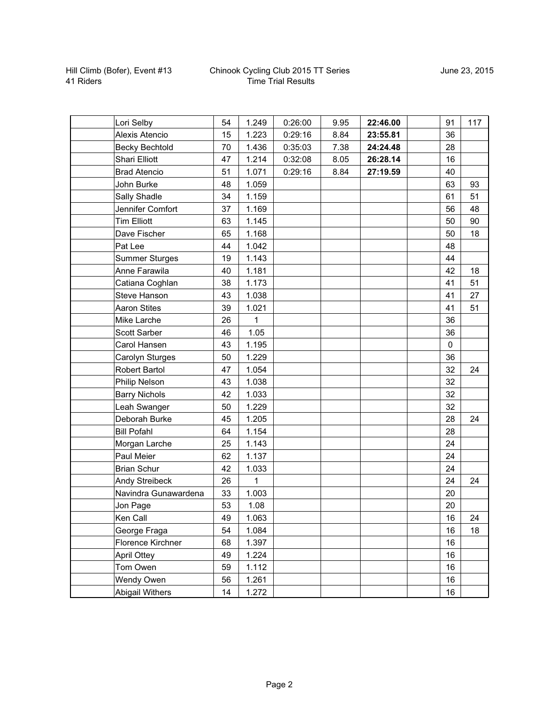## Chinook Cycling Club 2015 TT Series Time Trial Results

| Lori Selby             | 54 | 1.249 | 0:26:00 | 9.95 | 22:46.00 | 91        | 117 |
|------------------------|----|-------|---------|------|----------|-----------|-----|
| Alexis Atencio         | 15 | 1.223 | 0:29:16 | 8.84 | 23:55.81 | 36        |     |
| <b>Becky Bechtold</b>  | 70 | 1.436 | 0:35:03 | 7.38 | 24:24.48 | 28        |     |
| <b>Shari Elliott</b>   | 47 | 1.214 | 0:32:08 | 8.05 | 26:28.14 | 16        |     |
| <b>Brad Atencio</b>    | 51 | 1.071 | 0:29:16 | 8.84 | 27:19.59 | 40        |     |
| John Burke             | 48 | 1.059 |         |      |          | 63        | 93  |
| Sally Shadle           | 34 | 1.159 |         |      |          | 61        | 51  |
| Jennifer Comfort       | 37 | 1.169 |         |      |          | 56        | 48  |
| <b>Tim Elliott</b>     | 63 | 1.145 |         |      |          | 50        | 90  |
| Dave Fischer           | 65 | 1.168 |         |      |          | 50        | 18  |
| Pat Lee                | 44 | 1.042 |         |      |          | 48        |     |
| <b>Summer Sturges</b>  | 19 | 1.143 |         |      |          | 44        |     |
| Anne Farawila          | 40 | 1.181 |         |      |          | 42        | 18  |
| Catiana Coghlan        | 38 | 1.173 |         |      |          | 41        | 51  |
| <b>Steve Hanson</b>    | 43 | 1.038 |         |      |          | 41        | 27  |
| <b>Aaron Stites</b>    | 39 | 1.021 |         |      |          | 41        | 51  |
| Mike Larche            | 26 | 1     |         |      |          | 36        |     |
| Scott Sarber           | 46 | 1.05  |         |      |          | 36        |     |
| Carol Hansen           | 43 | 1.195 |         |      |          | $\pmb{0}$ |     |
| Carolyn Sturges        | 50 | 1.229 |         |      |          | 36        |     |
| <b>Robert Bartol</b>   | 47 | 1.054 |         |      |          | 32        | 24  |
| Philip Nelson          | 43 | 1.038 |         |      |          | 32        |     |
| <b>Barry Nichols</b>   | 42 | 1.033 |         |      |          | 32        |     |
| Leah Swanger           | 50 | 1.229 |         |      |          | 32        |     |
| Deborah Burke          | 45 | 1.205 |         |      |          | 28        | 24  |
| <b>Bill Pofahl</b>     | 64 | 1.154 |         |      |          | 28        |     |
| Morgan Larche          | 25 | 1.143 |         |      |          | 24        |     |
| Paul Meier             | 62 | 1.137 |         |      |          | 24        |     |
| <b>Brian Schur</b>     | 42 | 1.033 |         |      |          | 24        |     |
| <b>Andy Streibeck</b>  | 26 | 1     |         |      |          | 24        | 24  |
| Navindra Gunawardena   | 33 | 1.003 |         |      |          | 20        |     |
| Jon Page               | 53 | 1.08  |         |      |          | 20        |     |
| Ken Call               | 49 | 1.063 |         |      |          | 16        | 24  |
| George Fraga           | 54 | 1.084 |         |      |          | 16        | 18  |
| Florence Kirchner      | 68 | 1.397 |         |      |          | 16        |     |
| <b>April Ottey</b>     | 49 | 1.224 |         |      |          | 16        |     |
| Tom Owen               | 59 | 1.112 |         |      |          | 16        |     |
| Wendy Owen             | 56 | 1.261 |         |      |          | $16\,$    |     |
| <b>Abigail Withers</b> | 14 | 1.272 |         |      |          | 16        |     |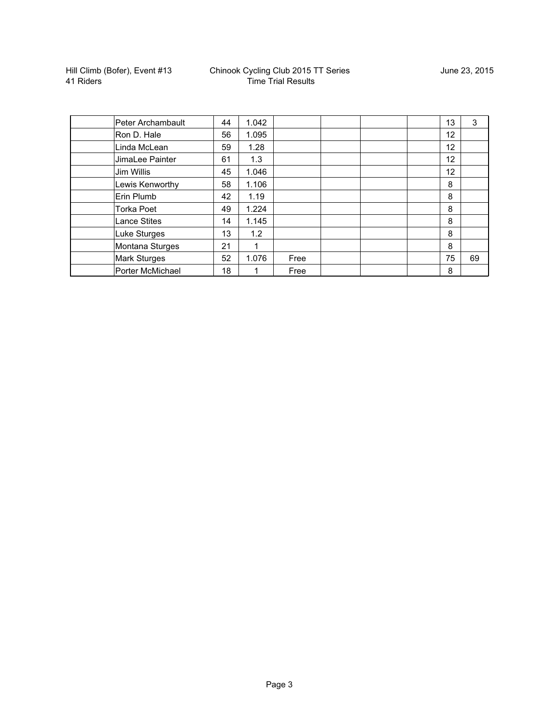| Peter Archambault   | 44 | 1.042 |      |  | 13 | 3  |
|---------------------|----|-------|------|--|----|----|
| Ron D. Hale         | 56 | 1.095 |      |  | 12 |    |
| Linda McLean        | 59 | 1.28  |      |  | 12 |    |
| JimaLee Painter     | 61 | 1.3   |      |  | 12 |    |
| Jim Willis          | 45 | 1.046 |      |  | 12 |    |
| Lewis Kenworthy     | 58 | 1.106 |      |  | 8  |    |
| Erin Plumb          | 42 | 1.19  |      |  | 8  |    |
| <b>Torka Poet</b>   | 49 | 1.224 |      |  | 8  |    |
| <b>Lance Stites</b> | 14 | 1.145 |      |  | 8  |    |
| Luke Sturges        | 13 | 1.2   |      |  | 8  |    |
| Montana Sturges     | 21 | 1     |      |  | 8  |    |
| Mark Sturges        | 52 | 1.076 | Free |  | 75 | 69 |
| Porter McMichael    | 18 |       | Free |  | 8  |    |